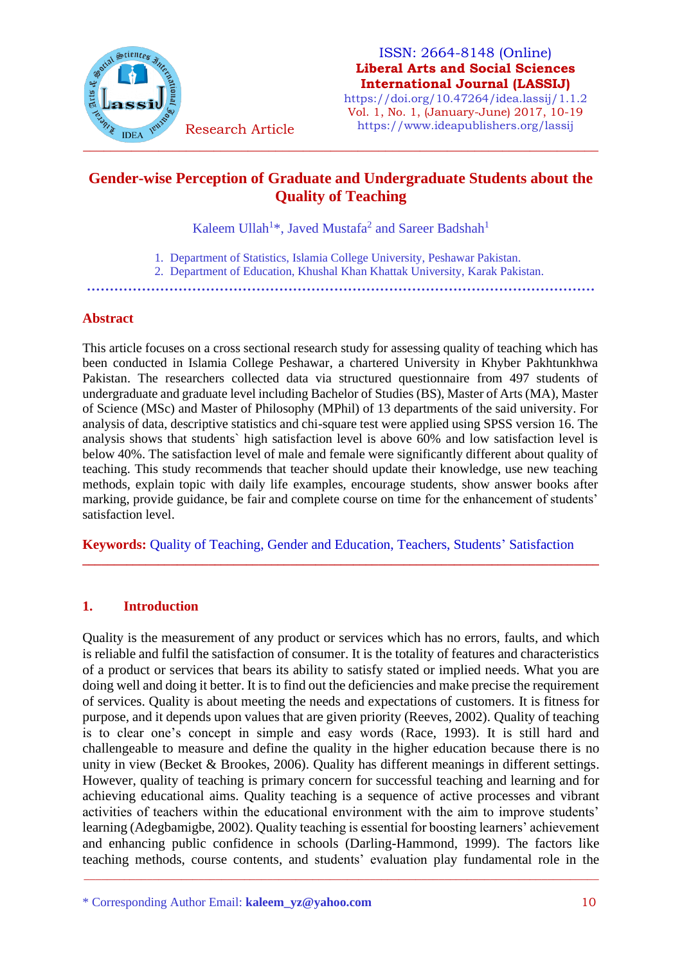

#### ISSN: 2664-8148 (Online) **Liberal Arts and Social Sciences International Journal (LASSIJ)**

https://doi.org/10.47264/idea.lassij/1.1.2 Vol. 1, No. 1, (January-June) 2017, 10-19 https://www.ideapublishers.org/lassij

# **Gender-wise Perception of Graduate and Undergraduate Students about the Quality of Teaching**

Kaleem Ullah<sup>1</sup>\*, Javed Mustafa<sup>2</sup> and Sareer Badshah<sup>1</sup>

- 1. Department of Statistics, Islamia College University, Peshawar Pakistan.
- 2. Department of Education, Khushal Khan Khattak University, Karak Pakistan.

**…………………………………………………………………………………………………**

#### **Abstract**

This article focuses on a cross sectional research study for assessing quality of teaching which has been conducted in Islamia College Peshawar, a chartered University in Khyber Pakhtunkhwa Pakistan. The researchers collected data via structured questionnaire from 497 students of undergraduate and graduate level including Bachelor of Studies (BS), Master of Arts (MA), Master of Science (MSc) and Master of Philosophy (MPhil) of 13 departments of the said university. For analysis of data, descriptive statistics and chi-square test were applied using SPSS version 16. The analysis shows that students` high satisfaction level is above 60% and low satisfaction level is below 40%. The satisfaction level of male and female were significantly different about quality of teaching. This study recommends that teacher should update their knowledge, use new teaching methods, explain topic with daily life examples, encourage students, show answer books after marking, provide guidance, be fair and complete course on time for the enhancement of students' satisfaction level.

**Keywords:** Quality of Teaching, Gender and Education, Teachers, Students' Satisfaction

**\_\_\_\_\_\_\_\_\_\_\_\_\_\_\_\_\_\_\_\_\_\_\_\_\_\_\_\_\_\_\_\_\_\_\_\_\_\_\_\_\_\_\_\_\_\_\_\_\_\_\_\_\_\_\_\_\_\_\_\_\_\_\_\_\_\_\_\_\_\_\_\_\_\_\_\_\_\_\_\_\_\_**

## **1. Introduction**

Quality is the measurement of any product or services which has no errors, faults, and which is reliable and fulfil the satisfaction of consumer. It is the totality of features and characteristics of a product or services that bears its ability to satisfy stated or implied needs. What you are doing well and doing it better. It is to find out the deficiencies and make precise the requirement of services. Quality is about meeting the needs and expectations of customers. It is fitness for purpose, and it depends upon values that are given priority (Reeves, 2002). Quality of teaching is to clear one's concept in simple and easy words (Race, 1993). It is still hard and challengeable to measure and define the quality in the higher education because there is no unity in view (Becket & Brookes, 2006). Quality has different meanings in different settings. However, quality of teaching is primary concern for successful teaching and learning and for achieving educational aims. Quality teaching is a sequence of active processes and vibrant activities of teachers within the educational environment with the aim to improve students' learning (Adegbamigbe, 2002). Quality teaching is essential for boosting learners' achievement and enhancing public confidence in schools (Darling-Hammond, 1999). The factors like teaching methods, course contents, and students' evaluation play fundamental role in the

\_\_\_\_\_\_\_\_\_\_\_\_\_\_\_\_\_\_\_\_\_\_\_\_\_\_\_\_\_\_\_\_\_\_\_\_\_\_\_\_\_\_\_\_\_\_\_\_\_\_\_\_\_\_\_\_\_\_\_\_\_\_\_\_\_\_\_\_\_\_\_\_\_\_\_\_\_\_\_\_\_\_\_\_\_\_\_\_\_\_

<sup>\*</sup> Corresponding Author Email: **kaleem\_yz@yahoo.com** 10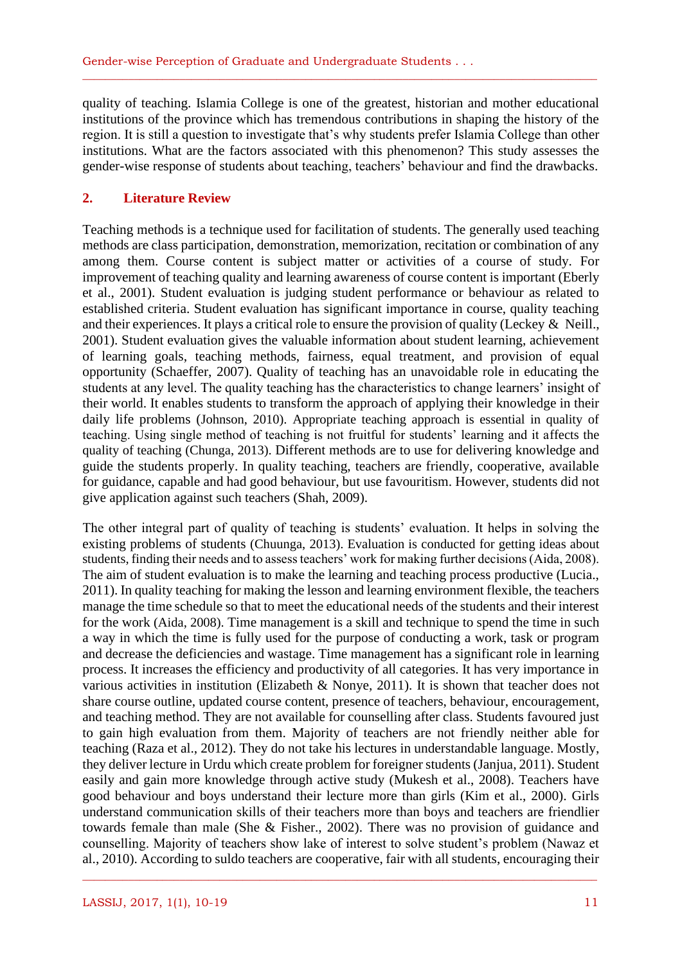quality of teaching. Islamia College is one of the greatest, historian and mother educational institutions of the province which has tremendous contributions in shaping the history of the region. It is still a question to investigate that's why students prefer Islamia College than other institutions. What are the factors associated with this phenomenon? This study assesses the gender-wise response of students about teaching, teachers' behaviour and find the drawbacks.

\_\_\_\_\_\_\_\_\_\_\_\_\_\_\_\_\_\_\_\_\_\_\_\_\_\_\_\_\_\_\_\_\_\_\_\_\_\_\_\_\_\_\_\_\_\_\_\_\_\_\_\_\_\_\_\_\_\_\_\_\_\_\_\_\_\_\_\_\_\_\_\_\_\_\_\_\_\_\_\_\_\_\_\_\_\_\_\_\_\_

#### **2. Literature Review**

Teaching methods is a technique used for facilitation of students. The generally used teaching methods are class participation, demonstration, memorization, recitation or combination of any among them. Course content is subject matter or activities of a course of study. For improvement of teaching quality and learning awareness of course content is important (Eberly et al., 2001). Student evaluation is judging student performance or behaviour as related to established criteria. Student evaluation has significant importance in course, quality teaching and their experiences. It plays a critical role to ensure the provision of quality [\(Leckey](http://www.tandfonline.com/action/doSearch?action=runSearch&type=advanced&result=true&prevSearch=%2Bauthorsfield%3A(Leckey%2C+Janet))  $\&$  [Neill.](http://www.tandfonline.com/action/doSearch?action=runSearch&type=advanced&result=true&prevSearch=%2Bauthorsfield%3A(Neill%2C+Neville)), 2001). Student evaluation gives the valuable information about student learning, achievement of learning goals, teaching methods, fairness, equal treatment, and provision of equal opportunity (Schaeffer, 2007). Quality of teaching has an unavoidable role in educating the students at any level. The quality teaching has the characteristics to change learners' insight of their world. It enables students to transform the approach of applying their knowledge in their daily life problems (Johnson, 2010). Appropriate teaching approach is essential in quality of teaching. Using single method of teaching is not fruitful for students' learning and it affects the quality of teaching (Chunga, 2013). Different methods are to use for delivering knowledge and guide the students properly. In quality teaching, teachers are friendly, cooperative, available for guidance, capable and had good behaviour, but use favouritism. However, students did not give application against such teachers (Shah, 2009).

The other integral part of quality of teaching is students' evaluation. It helps in solving the existing problems of students (Chuunga, 2013). Evaluation is conducted for getting ideas about students, finding their needs and to assess teachers' work for making further decisions (Aida, 2008). The aim of student evaluation is to make the learning and teaching process productive (Lucia., 2011). In quality teaching for making the lesson and learning environment flexible, the teachers manage the time schedule so that to meet the educational needs of the students and their interest for the work (Aida, 2008). Time management is a skill and technique to spend the time in such a way in which the time is fully used for the purpose of conducting a work, task or program and decrease the deficiencies and wastage. Time management has a significant role in learning process. It increases the efficiency and productivity of all categories. It has very importance in various activities in institution (Elizabeth & Nonye, 2011). It is shown that teacher does not share course outline, updated course content, presence of teachers, behaviour, encouragement, and teaching method. They are not available for counselling after class. Students favoured just to gain high evaluation from them. Majority of teachers are not friendly neither able for teaching (Raza et al., 2012). They do not take his lectures in understandable language. Mostly, they deliver lecture in Urdu which create problem for foreigner students (Janjua, 2011). Student easily and gain more knowledge through active study (Mukesh et al., 2008). Teachers have good behaviour and boys understand their lecture more than girls (Kim et al., 2000). Girls understand communication skills of their teachers more than boys and teachers are friendlier towards female than male (She & Fisher., 2002). There was no provision of guidance and counselling. Majority of teachers show lake of interest to solve student's problem (Nawaz et al., 2010). According to suldo teachers are cooperative, fair with all students, encouraging their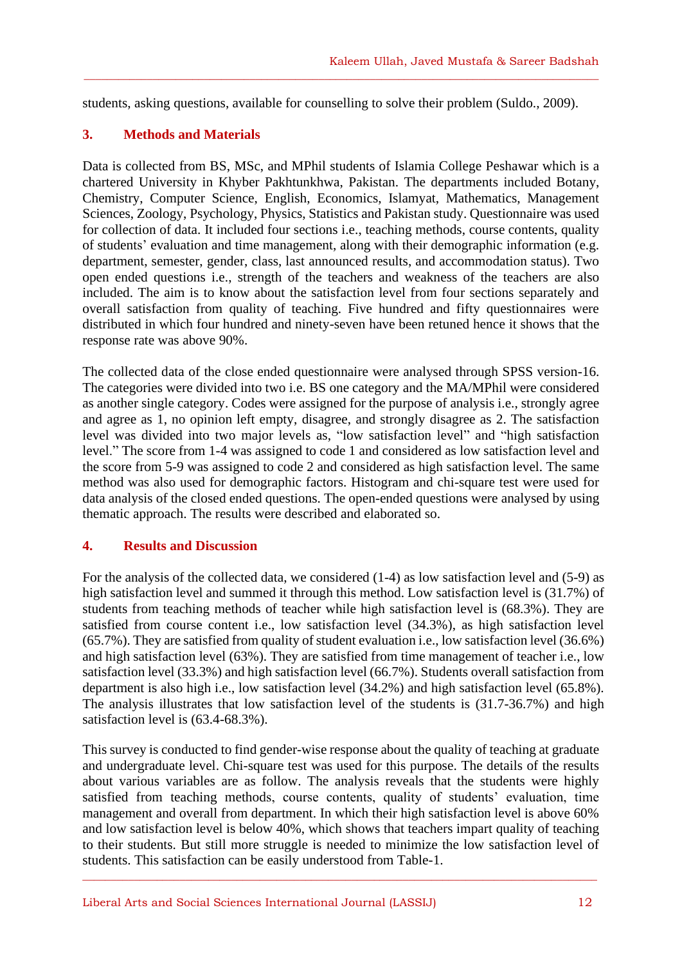students, asking questions, available for counselling to solve their problem (Suldo., 2009).

 $\_$  , and the set of the set of the set of the set of the set of the set of the set of the set of the set of the set of the set of the set of the set of the set of the set of the set of the set of the set of the set of th

## **3. Methods and Materials**

Data is collected from BS, MSc, and MPhil students of Islamia College Peshawar which is a chartered University in Khyber Pakhtunkhwa, Pakistan. The departments included Botany, Chemistry, Computer Science, English, Economics, Islamyat, Mathematics, Management Sciences, Zoology, Psychology, Physics, Statistics and Pakistan study. Questionnaire was used for collection of data. It included four sections i.e., teaching methods, course contents, quality of students' evaluation and time management, along with their demographic information (e.g. department, semester, gender, class, last announced results, and accommodation status). Two open ended questions i.e., strength of the teachers and weakness of the teachers are also included. The aim is to know about the satisfaction level from four sections separately and overall satisfaction from quality of teaching. Five hundred and fifty questionnaires were distributed in which four hundred and ninety-seven have been retuned hence it shows that the response rate was above 90%.

The collected data of the close ended questionnaire were analysed through SPSS version-16. The categories were divided into two i.e. BS one category and the MA/MPhil were considered as another single category. Codes were assigned for the purpose of analysis i.e., strongly agree and agree as 1, no opinion left empty, disagree, and strongly disagree as 2. The satisfaction level was divided into two major levels as, "low satisfaction level" and "high satisfaction level." The score from 1-4 was assigned to code 1 and considered as low satisfaction level and the score from 5-9 was assigned to code 2 and considered as high satisfaction level. The same method was also used for demographic factors. Histogram and chi-square test were used for data analysis of the closed ended questions. The open-ended questions were analysed by using thematic approach. The results were described and elaborated so.

# **4. Results and Discussion**

For the analysis of the collected data, we considered (1-4) as low satisfaction level and (5-9) as high satisfaction level and summed it through this method. Low satisfaction level is (31.7%) of students from teaching methods of teacher while high satisfaction level is (68.3%). They are satisfied from course content i.e., low satisfaction level (34.3%), as high satisfaction level (65.7%). They are satisfied from quality of student evaluation i.e., low satisfaction level (36.6%) and high satisfaction level (63%). They are satisfied from time management of teacher i.e., low satisfaction level (33.3%) and high satisfaction level (66.7%). Students overall satisfaction from department is also high i.e., low satisfaction level (34.2%) and high satisfaction level (65.8%). The analysis illustrates that low satisfaction level of the students is (31.7-36.7%) and high satisfaction level is (63.4-68.3%).

This survey is conducted to find gender-wise response about the quality of teaching at graduate and undergraduate level. Chi-square test was used for this purpose. The details of the results about various variables are as follow. The analysis reveals that the students were highly satisfied from teaching methods, course contents, quality of students' evaluation, time management and overall from department. In which their high satisfaction level is above 60% and low satisfaction level is below 40%, which shows that teachers impart quality of teaching to their students. But still more struggle is needed to minimize the low satisfaction level of students. This satisfaction can be easily understood from Table-1.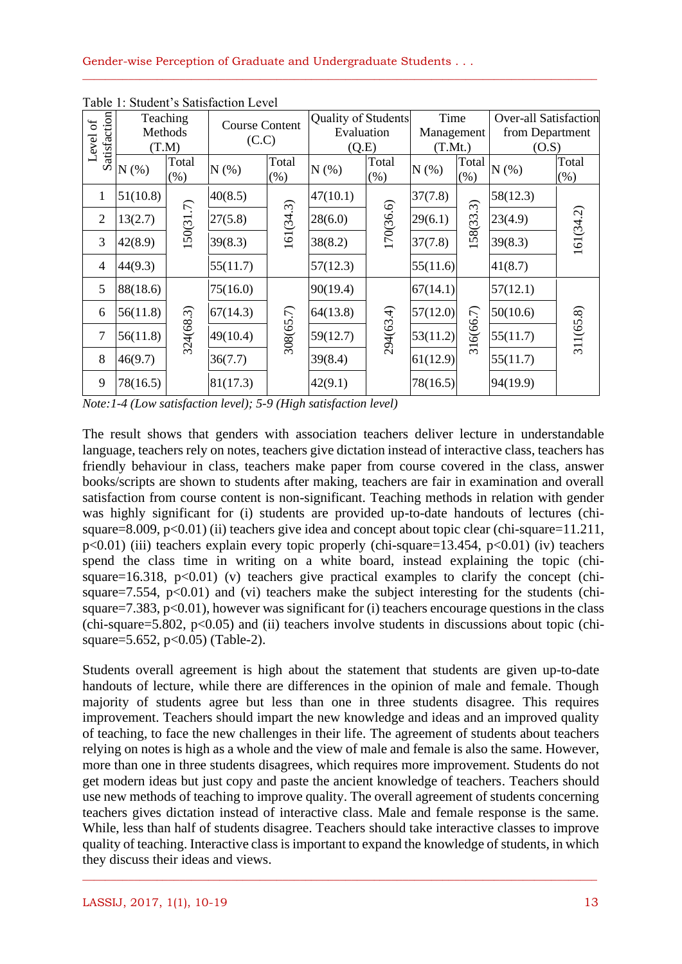| ЪÓ             | Teaching<br>Methods<br>(T.M) |                  | <b>Course Content</b><br>(C.C) |               | Quality of Students<br>Evaluation |               | Time<br>Management |               | <b>Over-all Satisfaction</b> |                  |
|----------------|------------------------------|------------------|--------------------------------|---------------|-----------------------------------|---------------|--------------------|---------------|------------------------------|------------------|
|                |                              |                  |                                |               |                                   |               |                    |               | from Department              |                  |
| Level          |                              |                  |                                |               | (Q.E)                             |               | (T.Mt.)            |               | (O.S)                        |                  |
| Satisfaction   | N(%)                         | Total<br>$(\% )$ | $N(\%)$                        | Total<br>(% ) | $N(\%)$                           | Total<br>(% ) | $N(\%)$            | Total<br>(% ) | $N(\%)$                      | Total<br>$(\% )$ |
| $\mathbf{1}$   | 51(10.8)                     |                  | 40(8.5)                        |               | 47(10.1)                          |               | 37(7.8)            | 158(33.3)     | 58(12.3)                     | 161(34.2)        |
| 2              | 13(2.7)                      | 150(31.7)        | 27(5.8)                        | 161(34.3)     | 28(6.0)                           | 170(36.6)     | 29(6.1)            |               | 23(4.9)                      |                  |
| 3              | 42(8.9)                      |                  | 39(8.3)                        |               | 38(8.2)                           |               | 37(7.8)            |               | 39(8.3)                      |                  |
| $\overline{4}$ | 44(9.3)                      |                  | 55(11.7)                       |               | 57(12.3)                          |               | 55(11.6)           |               | 41(8.7)                      |                  |
| 5              | 88(18.6)                     |                  | 75(16.0)                       |               | 90(19.4)                          |               | 67(14.1)           | 316(66.7)     | 57(12.1)                     | 311(65.8)        |
| 6              | 56(11.8)                     |                  | 67(14.3)                       | 308(65.7)     | 64(13.8)                          |               | 57(12.0)           |               | 50(10.6)                     |                  |
| $\overline{7}$ | 56(11.8)                     | 324(68.3)        | 49(10.4)                       |               | 59(12.7)                          | 294(63.4)     | 53(11.2)           |               | 55(11.7)                     |                  |
| 8              | 46(9.7)                      |                  | 36(7.7)                        |               | 39(8.4)                           |               | 61(12.9)           |               | 55(11.7)                     |                  |
| 9              | 78(16.5)                     |                  | 81(17.3)                       | 42(9.1)       |                                   | 78(16.5)      |                    | 94(19.9)      |                              |                  |

\_\_\_\_\_\_\_\_\_\_\_\_\_\_\_\_\_\_\_\_\_\_\_\_\_\_\_\_\_\_\_\_\_\_\_\_\_\_\_\_\_\_\_\_\_\_\_\_\_\_\_\_\_\_\_\_\_\_\_\_\_\_\_\_\_\_\_\_\_\_\_\_\_\_\_\_\_\_\_\_\_\_\_\_\_\_\_\_\_\_

Table 1: Student's Satisfaction Level

*Note:1-4 (Low satisfaction level); 5-9 (High satisfaction level)*

The result shows that genders with association teachers deliver lecture in understandable language, teachers rely on notes, teachers give dictation instead of interactive class, teachers has friendly behaviour in class, teachers make paper from course covered in the class, answer books/scripts are shown to students after making, teachers are fair in examination and overall satisfaction from course content is non-significant. Teaching methods in relation with gender was highly significant for (i) students are provided up-to-date handouts of lectures (chisquare=8.009,  $p<0.01$ ) (ii) teachers give idea and concept about topic clear (chi-square=11.211,  $p<0.01$ ) (iii) teachers explain every topic properly (chi-square=13.454,  $p<0.01$ ) (iv) teachers spend the class time in writing on a white board, instead explaining the topic (chisquare=16.318,  $p<0.01$ ) (v) teachers give practical examples to clarify the concept (chisquare=7.554,  $p<0.01$ ) and (vi) teachers make the subject interesting for the students (chisquare=7.383,  $p<0.01$ ), however was significant for (i) teachers encourage questions in the class (chi-square=5.802,  $p<0.05$ ) and (ii) teachers involve students in discussions about topic (chisquare=5.652, p<0.05) (Table-2).

Students overall agreement is high about the statement that students are given up-to-date handouts of lecture, while there are differences in the opinion of male and female. Though majority of students agree but less than one in three students disagree. This requires improvement. Teachers should impart the new knowledge and ideas and an improved quality of teaching, to face the new challenges in their life. The agreement of students about teachers relying on notes is high as a whole and the view of male and female is also the same. However, more than one in three students disagrees, which requires more improvement. Students do not get modern ideas but just copy and paste the ancient knowledge of teachers. Teachers should use new methods of teaching to improve quality. The overall agreement of students concerning teachers gives dictation instead of interactive class. Male and female response is the same. While, less than half of students disagree. Teachers should take interactive classes to improve quality of teaching. Interactive class is important to expand the knowledge of students, in which they discuss their ideas and views.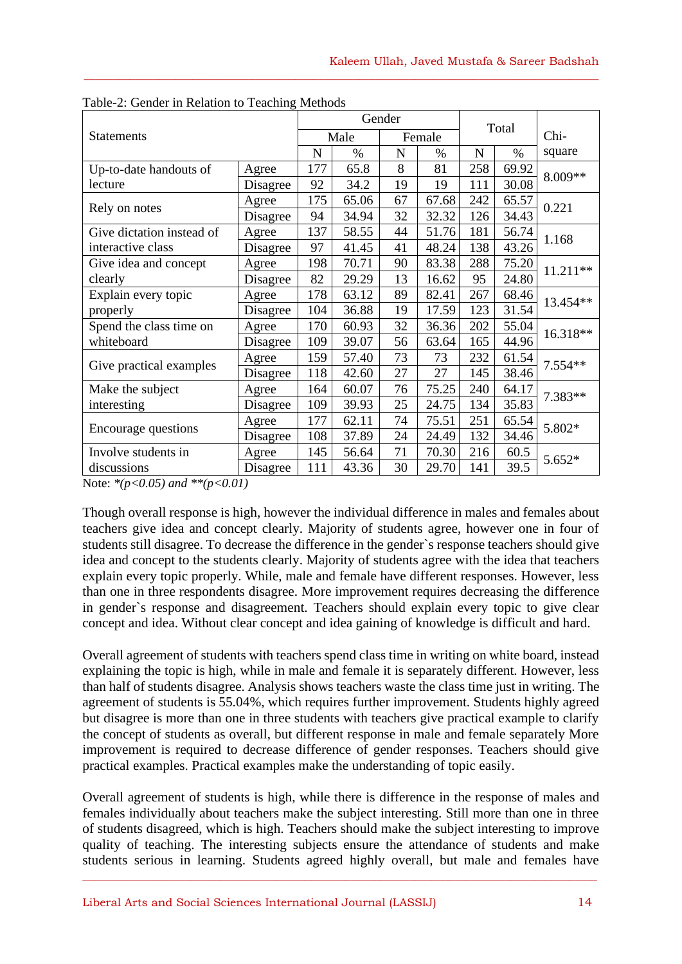| $\mu_{\text{O1C}}$ $\mu_{\text{O}}$ concert in recruiton to requesting<br><b>Statements</b> |          |     | Gender |    |        |             |       |          |  |
|---------------------------------------------------------------------------------------------|----------|-----|--------|----|--------|-------------|-------|----------|--|
|                                                                                             |          |     | Male   |    | Female |             | Total | Chi-     |  |
|                                                                                             |          |     | $\%$   | N  | $\%$   | $\mathbf N$ | $\%$  | square   |  |
| Up-to-date handouts of                                                                      | Agree    | 177 | 65.8   | 8  | 81     | 258         | 69.92 | 8.009**  |  |
| lecture                                                                                     | Disagree | 92  | 34.2   | 19 | 19     | 111         | 30.08 |          |  |
| Rely on notes                                                                               | Agree    | 175 | 65.06  | 67 | 67.68  | 242         | 65.57 | 0.221    |  |
|                                                                                             | Disagree | 94  | 34.94  | 32 | 32.32  | 126         | 34.43 |          |  |
| Give dictation instead of                                                                   | Agree    | 137 | 58.55  | 44 | 51.76  | 181         | 56.74 | 1.168    |  |
| interactive class                                                                           | Disagree | 97  | 41.45  | 41 | 48.24  | 138         | 43.26 |          |  |
| Give idea and concept                                                                       | Agree    | 198 | 70.71  | 90 | 83.38  | 288         | 75.20 | 11.211** |  |
| clearly                                                                                     | Disagree | 82  | 29.29  | 13 | 16.62  | 95          | 24.80 |          |  |
| Explain every topic                                                                         | Agree    | 178 | 63.12  | 89 | 82.41  | 267         | 68.46 | 13.454** |  |
| properly                                                                                    | Disagree | 104 | 36.88  | 19 | 17.59  | 123         | 31.54 |          |  |
| Spend the class time on                                                                     | Agree    | 170 | 60.93  | 32 | 36.36  | 202         | 55.04 | 16.318** |  |
| whiteboard                                                                                  | Disagree | 109 | 39.07  | 56 | 63.64  | 165         | 44.96 |          |  |
| Give practical examples                                                                     | Agree    | 159 | 57.40  | 73 | 73     | 232         | 61.54 | 7.554**  |  |
|                                                                                             | Disagree | 118 | 42.60  | 27 | 27     | 145         | 38.46 |          |  |
| Make the subject                                                                            | Agree    | 164 | 60.07  | 76 | 75.25  | 240         | 64.17 | 7.383**  |  |
| interesting                                                                                 | Disagree | 109 | 39.93  | 25 | 24.75  | 134         | 35.83 |          |  |
| Encourage questions                                                                         | Agree    | 177 | 62.11  | 74 | 75.51  | 251         | 65.54 | 5.802*   |  |
|                                                                                             | Disagree | 108 | 37.89  | 24 | 24.49  | 132         | 34.46 |          |  |
| Involve students in                                                                         | Agree    | 145 | 56.64  | 71 | 70.30  | 216         | 60.5  | $5.652*$ |  |
| discussions                                                                                 | Disagree | 111 | 43.36  | 30 | 29.70  | 141         | 39.5  |          |  |

 $\_$  , and the set of the set of the set of the set of the set of the set of the set of the set of the set of the set of the set of the set of the set of the set of the set of the set of the set of the set of the set of th

|  | Table-2: Gender in Relation to Teaching Methods |  |
|--|-------------------------------------------------|--|
|  |                                                 |  |
|  |                                                 |  |

Note: *\*(p<0.05) and \*\*(p<0.01)*

Though overall response is high, however the individual difference in males and females about teachers give idea and concept clearly. Majority of students agree, however one in four of students still disagree. To decrease the difference in the gender`s response teachers should give idea and concept to the students clearly. Majority of students agree with the idea that teachers explain every topic properly. While, male and female have different responses. However, less than one in three respondents disagree. More improvement requires decreasing the difference in gender`s response and disagreement. Teachers should explain every topic to give clear concept and idea. Without clear concept and idea gaining of knowledge is difficult and hard.

Overall agreement of students with teachers spend class time in writing on white board, instead explaining the topic is high, while in male and female it is separately different. However, less than half of students disagree. Analysis shows teachers waste the class time just in writing. The agreement of students is 55.04%, which requires further improvement. Students highly agreed but disagree is more than one in three students with teachers give practical example to clarify the concept of students as overall, but different response in male and female separately More improvement is required to decrease difference of gender responses. Teachers should give practical examples. Practical examples make the understanding of topic easily.

Overall agreement of students is high, while there is difference in the response of males and females individually about teachers make the subject interesting. Still more than one in three of students disagreed, which is high. Teachers should make the subject interesting to improve quality of teaching. The interesting subjects ensure the attendance of students and make students serious in learning. Students agreed highly overall, but male and females have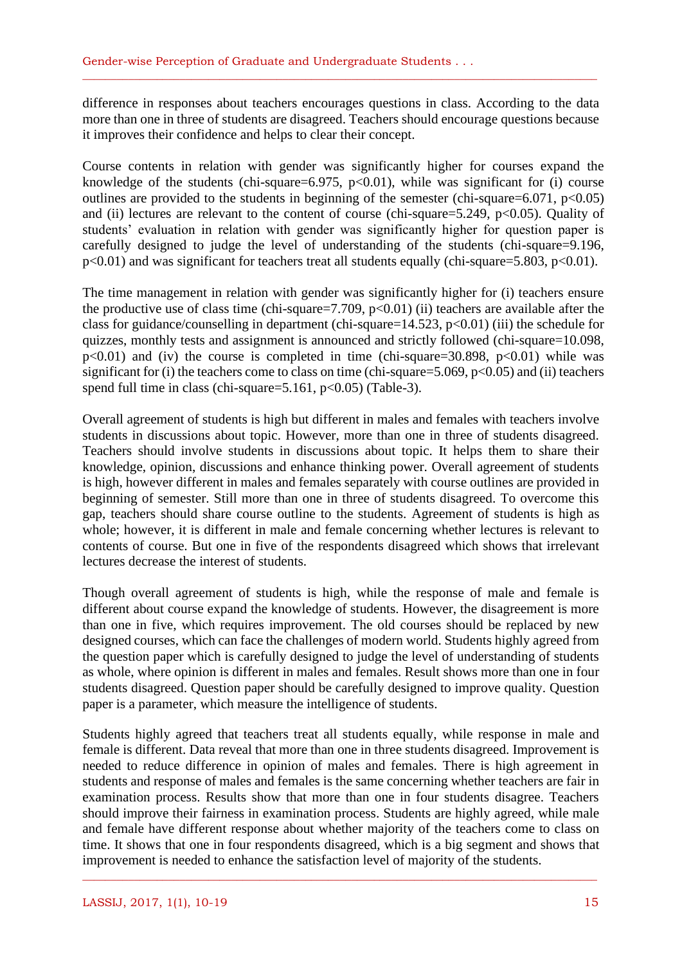difference in responses about teachers encourages questions in class. According to the data more than one in three of students are disagreed. Teachers should encourage questions because it improves their confidence and helps to clear their concept.

\_\_\_\_\_\_\_\_\_\_\_\_\_\_\_\_\_\_\_\_\_\_\_\_\_\_\_\_\_\_\_\_\_\_\_\_\_\_\_\_\_\_\_\_\_\_\_\_\_\_\_\_\_\_\_\_\_\_\_\_\_\_\_\_\_\_\_\_\_\_\_\_\_\_\_\_\_\_\_\_\_\_\_\_\_\_\_\_\_\_

Course contents in relation with gender was significantly higher for courses expand the knowledge of the students (chi-square=6.975,  $p<0.01$ ), while was significant for (i) course outlines are provided to the students in beginning of the semester (chi-square=6.071,  $p<0.05$ ) and (ii) lectures are relevant to the content of course (chi-square=5.249,  $p<0.05$ ). Quality of students' evaluation in relation with gender was significantly higher for question paper is carefully designed to judge the level of understanding of the students (chi-square=9.196,  $p<0.01$ ) and was significant for teachers treat all students equally (chi-square=5.803,  $p<0.01$ ).

The time management in relation with gender was significantly higher for (i) teachers ensure the productive use of class time (chi-square=7.709,  $p<0.01$ ) (ii) teachers are available after the class for guidance/counselling in department (chi-square=14.523,  $p<0.01$ ) (iii) the schedule for quizzes, monthly tests and assignment is announced and strictly followed (chi-square=10.098,  $p<0.01$ ) and (iv) the course is completed in time (chi-square=30.898,  $p<0.01$ ) while was significant for (i) the teachers come to class on time (chi-square=5.069,  $p<0.05$ ) and (ii) teachers spend full time in class (chi-square=5.161,  $p<0.05$ ) (Table-3).

Overall agreement of students is high but different in males and females with teachers involve students in discussions about topic. However, more than one in three of students disagreed. Teachers should involve students in discussions about topic. It helps them to share their knowledge, opinion, discussions and enhance thinking power. Overall agreement of students is high, however different in males and females separately with course outlines are provided in beginning of semester. Still more than one in three of students disagreed. To overcome this gap, teachers should share course outline to the students. Agreement of students is high as whole; however, it is different in male and female concerning whether lectures is relevant to contents of course. But one in five of the respondents disagreed which shows that irrelevant lectures decrease the interest of students.

Though overall agreement of students is high, while the response of male and female is different about course expand the knowledge of students. However, the disagreement is more than one in five, which requires improvement. The old courses should be replaced by new designed courses, which can face the challenges of modern world. Students highly agreed from the question paper which is carefully designed to judge the level of understanding of students as whole, where opinion is different in males and females. Result shows more than one in four students disagreed. Question paper should be carefully designed to improve quality. Question paper is a parameter, which measure the intelligence of students.

Students highly agreed that teachers treat all students equally, while response in male and female is different. Data reveal that more than one in three students disagreed. Improvement is needed to reduce difference in opinion of males and females. There is high agreement in students and response of males and females is the same concerning whether teachers are fair in examination process. Results show that more than one in four students disagree. Teachers should improve their fairness in examination process. Students are highly agreed, while male and female have different response about whether majority of the teachers come to class on time. It shows that one in four respondents disagreed, which is a big segment and shows that improvement is needed to enhance the satisfaction level of majority of the students.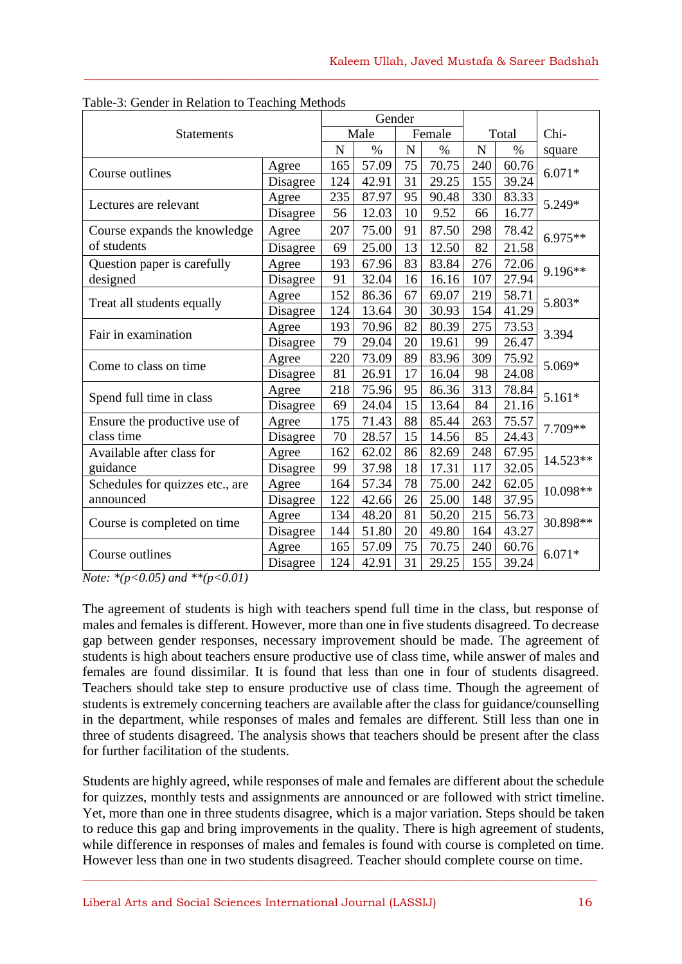|                                 |          |      | Gender |    |       |             |       |          |  |
|---------------------------------|----------|------|--------|----|-------|-------------|-------|----------|--|
| <b>Statements</b>               |          | Male | Female |    | Total |             | Chi-  |          |  |
|                                 |          |      | $\%$   | N  | $\%$  | $\mathbf N$ | $\%$  | square   |  |
| Course outlines                 | Agree    | 165  | 57.09  | 75 | 70.75 | 240         | 60.76 | $6.071*$ |  |
|                                 | Disagree | 124  | 42.91  | 31 | 29.25 | 155         | 39.24 |          |  |
| Lectures are relevant           | Agree    | 235  | 87.97  | 95 | 90.48 | 330         | 83.33 | 5.249*   |  |
|                                 | Disagree | 56   | 12.03  | 10 | 9.52  | 66          | 16.77 |          |  |
| Course expands the knowledge    | Agree    | 207  | 75.00  | 91 | 87.50 | 298         | 78.42 | 6.975**  |  |
| of students                     | Disagree | 69   | 25.00  | 13 | 12.50 | 82          | 21.58 |          |  |
| Question paper is carefully     | Agree    | 193  | 67.96  | 83 | 83.84 | 276         | 72.06 | 9.196**  |  |
| designed                        | Disagree | 91   | 32.04  | 16 | 16.16 | 107         | 27.94 |          |  |
|                                 | Agree    | 152  | 86.36  | 67 | 69.07 | 219         | 58.71 | 5.803*   |  |
| Treat all students equally      | Disagree | 124  | 13.64  | 30 | 30.93 | 154         | 41.29 |          |  |
| Fair in examination             | Agree    | 193  | 70.96  | 82 | 80.39 | 275         | 73.53 | 3.394    |  |
|                                 | Disagree | 79   | 29.04  | 20 | 19.61 | 99          | 26.47 |          |  |
| Come to class on time.          | Agree    | 220  | 73.09  | 89 | 83.96 | 309         | 75.92 | 5.069*   |  |
|                                 | Disagree | 81   | 26.91  | 17 | 16.04 | 98          | 24.08 |          |  |
| Spend full time in class        | Agree    | 218  | 75.96  | 95 | 86.36 | 313         | 78.84 | $5.161*$ |  |
|                                 | Disagree | 69   | 24.04  | 15 | 13.64 | 84          | 21.16 |          |  |
| Ensure the productive use of    | Agree    | 175  | 71.43  | 88 | 85.44 | 263         | 75.57 | 7.709**  |  |
| class time                      | Disagree | 70   | 28.57  | 15 | 14.56 | 85          | 24.43 |          |  |
| Available after class for       | Agree    | 162  | 62.02  | 86 | 82.69 | 248         | 67.95 | 14.523** |  |
| guidance                        | Disagree | 99   | 37.98  | 18 | 17.31 | 117         | 32.05 |          |  |
| Schedules for quizzes etc., are | Agree    | 164  | 57.34  | 78 | 75.00 | 242         | 62.05 | 10.098** |  |
| announced                       | Disagree | 122  | 42.66  | 26 | 25.00 | 148         | 37.95 |          |  |
| Course is completed on time     | Agree    | 134  | 48.20  | 81 | 50.20 | 215         | 56.73 | 30.898** |  |
|                                 | Disagree | 144  | 51.80  | 20 | 49.80 | 164         | 43.27 |          |  |
| Course outlines                 | Agree    | 165  | 57.09  | 75 | 70.75 | 240         | 60.76 | $6.071*$ |  |
|                                 | Disagree | 124  | 42.91  | 31 | 29.25 | 155         | 39.24 |          |  |

 $\_$  , and the set of the set of the set of the set of the set of the set of the set of the set of the set of the set of the set of the set of the set of the set of the set of the set of the set of the set of the set of th

Table-3: Gender in Relation to Teaching Methods

*Note: \*(p<0.05) and \*\*(p<0.01)*

The agreement of students is high with teachers spend full time in the class, but response of males and females is different. However, more than one in five students disagreed. To decrease gap between gender responses, necessary improvement should be made. The agreement of students is high about teachers ensure productive use of class time, while answer of males and females are found dissimilar. It is found that less than one in four of students disagreed. Teachers should take step to ensure productive use of class time. Though the agreement of students is extremely concerning teachers are available after the class for guidance/counselling in the department, while responses of males and females are different. Still less than one in three of students disagreed. The analysis shows that teachers should be present after the class for further facilitation of the students.

Students are highly agreed, while responses of male and females are different about the schedule for quizzes, monthly tests and assignments are announced or are followed with strict timeline. Yet, more than one in three students disagree, which is a major variation. Steps should be taken to reduce this gap and bring improvements in the quality. There is high agreement of students, while difference in responses of males and females is found with course is completed on time. However less than one in two students disagreed. Teacher should complete course on time.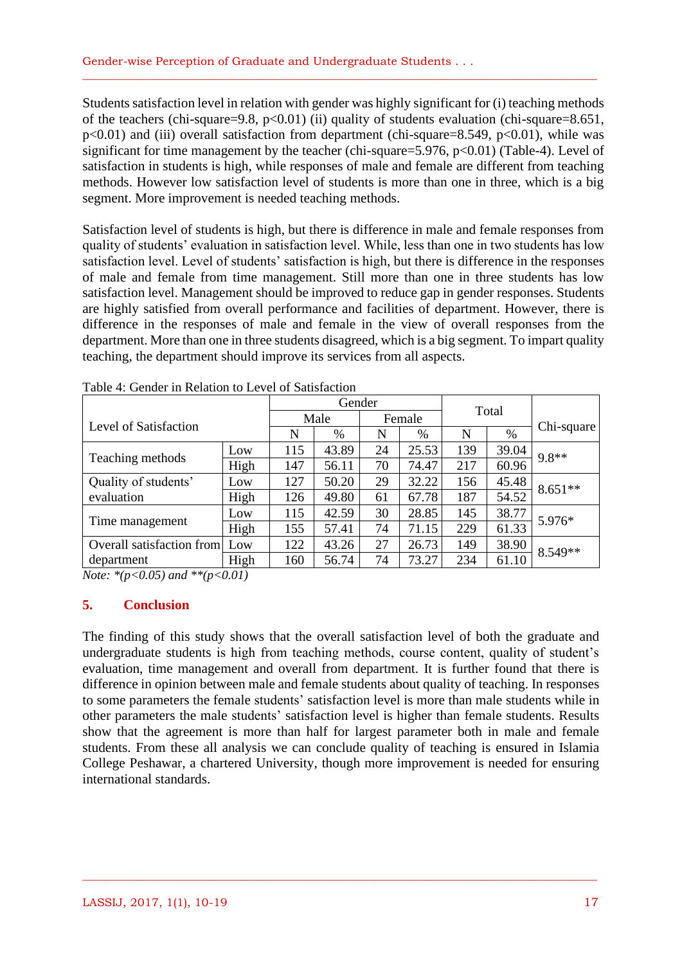Students satisfaction level in relation with gender was highly significant for (i) teaching methods of the teachers (chi-square=9.8,  $p<0.01$ ) (ii) quality of students evaluation (chi-square=8.651,  $p<0.01$ ) and (iii) overall satisfaction from department (chi-square=8.549,  $p<0.01$ ), while was significant for time management by the teacher (chi-square=5.976, p<0.01) (Table-4). Level of satisfaction in students is high, while responses of male and female are different from teaching methods. However low satisfaction level of students is more than one in three, which is a big segment. More improvement is needed teaching methods.

\_\_\_\_\_\_\_\_\_\_\_\_\_\_\_\_\_\_\_\_\_\_\_\_\_\_\_\_\_\_\_\_\_\_\_\_\_\_\_\_\_\_\_\_\_\_\_\_\_\_\_\_\_\_\_\_\_\_\_\_\_\_\_\_\_\_\_\_\_\_\_\_\_\_\_\_\_\_\_\_\_\_\_\_\_\_\_\_\_\_

Satisfaction level of students is high, but there is difference in male and female responses from quality of students' evaluation in satisfaction level. While, less than one in two students has low satisfaction level. Level of students' satisfaction is high, but there is difference in the responses of male and female from time management. Still more than one in three students has low satisfaction level. Management should be improved to reduce gap in gender responses. Students are highly satisfied from overall performance and facilities of department. However, there is difference in the responses of male and female in the view of overall responses from the department. More than one in three students disagreed, which is a big segment. To impart quality teaching, the department should improve its services from all aspects.

|                           |      |     | Gender |      |       |     |            |           |  |
|---------------------------|------|-----|--------|------|-------|-----|------------|-----------|--|
| Level of Satisfaction     | Male |     | Female |      | Total |     |            |           |  |
|                           | N    | %   | N      | $\%$ | N     | %   | Chi-square |           |  |
|                           | Low  | 115 | 43.89  | 24   | 25.53 | 139 | 39.04      | $9.8**$   |  |
| Teaching methods          | High | 147 | 56.11  | 70   | 74.47 | 217 | 60.96      |           |  |
| Quality of students'      | Low  | 127 | 50.20  | 29   | 32.22 | 156 | 45.48      | $8.651**$ |  |
| evaluation                | High | 126 | 49.80  | 61   | 67.78 | 187 | 54.52      |           |  |
|                           | Low  | 115 | 42.59  | 30   | 28.85 | 145 | 38.77      | 5.976*    |  |
| Time management           | High | 155 | 57.41  | 74   | 71.15 | 229 | 61.33      |           |  |
| Overall satisfaction from | Low  | 122 | 43.26  | 27   | 26.73 | 149 | 38.90      | 8.549**   |  |
| department                | High | 160 | 56.74  | 74   | 73.27 | 234 | 61.10      |           |  |

Table 4: Gender in Relation to Level of Satisfaction

*Note: \*(p<0.05) and \*\*(p<0.01)*

## **5. Conclusion**

The finding of this study shows that the overall satisfaction level of both the graduate and undergraduate students is high from teaching methods, course content, quality of student's evaluation, time management and overall from department. It is further found that there is difference in opinion between male and female students about quality of teaching. In responses to some parameters the female students' satisfaction level is more than male students while in other parameters the male students' satisfaction level is higher than female students. Results show that the agreement is more than half for largest parameter both in male and female students. From these all analysis we can conclude quality of teaching is ensured in Islamia College Peshawar, a chartered University, though more improvement is needed for ensuring international standards.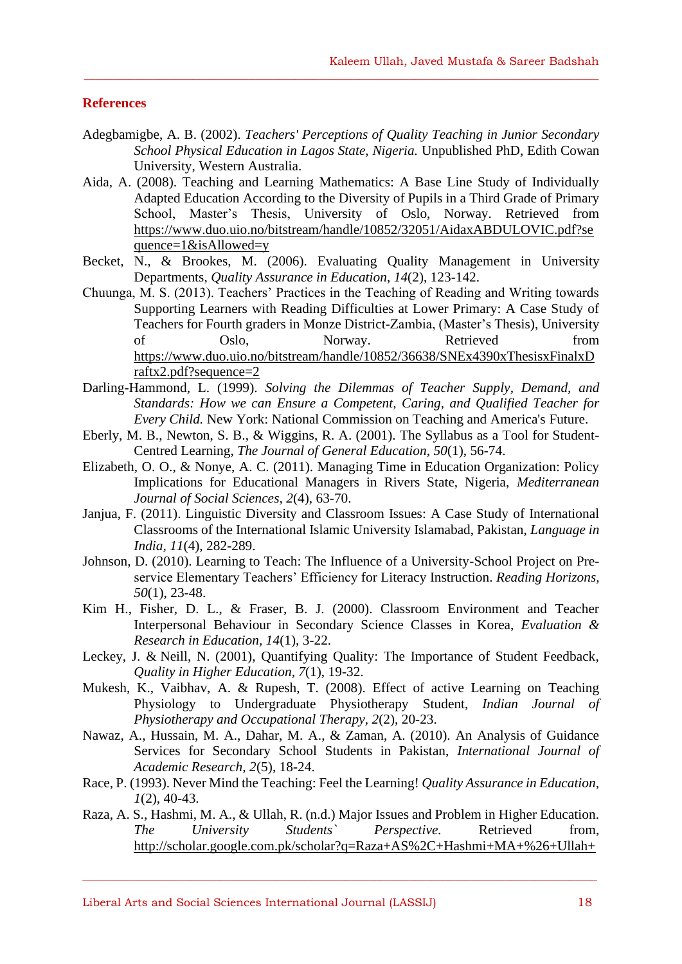#### **References**

Adegbamigbe, A. B. (2002). *Teachers' Perceptions of Quality Teaching in Junior Secondary School Physical Education in Lagos State, Nigeria.* Unpublished PhD, Edith Cowan University, Western Australia.

 $\_$  , and the set of the set of the set of the set of the set of the set of the set of the set of the set of the set of the set of the set of the set of the set of the set of the set of the set of the set of the set of th

- Aida, A. (2008). Teaching and Learning Mathematics: A Base Line Study of Individually Adapted Education According to the Diversity of Pupils in a Third Grade of Primary School, Master's Thesis, University of Oslo, Norway. Retrieved from https://www.duo.uio.no/bitstream/handle/10852/32051/AidaxABDULOVIC.pdf?se quence=1&isAllowed=y
- Becket, N., & Brookes, M. (2006). Evaluating Quality Management in University Departments, *Quality Assurance in Education*, *14*(2), 123-142.
- Chuunga, M. S. (2013). Teachers' Practices in the Teaching of Reading and Writing towards Supporting Learners with Reading Difficulties at Lower Primary: A Case Study of Teachers for Fourth graders in Monze District-Zambia, (Master's Thesis), University of Oslo, Norway. Retrieved from [https://www.duo.uio.no/bitstream/handle/10852/36638/SNEx4390xThesisxFinalxD](https://www.duo.uio.no/bitstream/handle/10852/36638/SNEx4390xThesisxFinalxDraftx2.pdf?sequence=2) [raftx2.pdf?sequence=2](https://www.duo.uio.no/bitstream/handle/10852/36638/SNEx4390xThesisxFinalxDraftx2.pdf?sequence=2)
- Darling-Hammond, L. (1999). *Solving the Dilemmas of Teacher Supply, Demand, and Standards: How we can Ensure a Competent, Caring, and Qualified Teacher for Every Child.* New York: National Commission on Teaching and America's Future.
- Eberly, M. B., Newton, S. B., & Wiggins, R. A. (2001). The Syllabus as a Tool for Student-Centred Learning, *The Journal of General Education*, *50*(1), 56-74.
- Elizabeth, O. O., & Nonye, A. C. (2011). Managing Time in Education Organization: Policy Implications for Educational Managers in Rivers State, Nigeria, *Mediterranean Journal of Social Sciences, 2*(4), 63-70.
- Janjua, F. (2011). Linguistic Diversity and Classroom Issues: A Case Study of International Classrooms of the International Islamic University Islamabad, Pakistan, *Language in India, 11*(4), 282-289.
- Johnson, D. (2010). Learning to Teach: The Influence of a University-School Project on Preservice Elementary Teachers' Efficiency for Literacy Instruction. *Reading Horizons, 50*(1), 23-48.
- Kim H., Fisher, D. L., & Fraser, B. J. (2000). Classroom Environment and Teacher Interpersonal Behaviour in Secondary Science Classes in Korea, *Evaluation & Research in Education, 14*(1), 3-22.
- [Leckey,](http://www.tandfonline.com/action/doSearch?action=runSearch&type=advanced&result=true&prevSearch=%2Bauthorsfield%3A(Leckey%2C+Janet)) J. & Neill, N. (2001), Quantifying Quality: The Importance of Student Feedback, *Quality in Higher Education, 7*(1), 19-32.
- Mukesh, K., Vaibhav, A. & Rupesh, T. (2008). Effect of active Learning on Teaching Physiology to Undergraduate Physiotherapy Student, *Indian Journal of Physiotherapy and Occupational Therapy, 2*(2), 20-23.
- Nawaz, A., Hussain, M. A., Dahar, M. A., & Zaman, A. (2010). An Analysis of Guidance Services for Secondary School Students in Pakistan, *International Journal of Academic Research, 2*(5), 18-24.
- Race, P. (1993). Never Mind the Teaching: Feel the Learning! *Quality Assurance in Education, 1*(2), 40-43.
- Raza, A. S., Hashmi, M. A., & Ullah, R. (n.d.) Major Issues and Problem in Higher Education. *The University Students` Perspective.* Retrieved from, [http://scholar.google.com.pk/scholar?q=Raza+AS%2C+Hashmi+MA+%26+Ullah+](http://scholar.google.com.pk/scholar?q=Raza+AS%2C+Hashmi+MA+%26+Ullah+R.+Major+Issues+and+Problem+in+Higher+Education%2C+The+University+students%60+Perspective.&btnG=&hl=en&as_sdt=0%2C5)